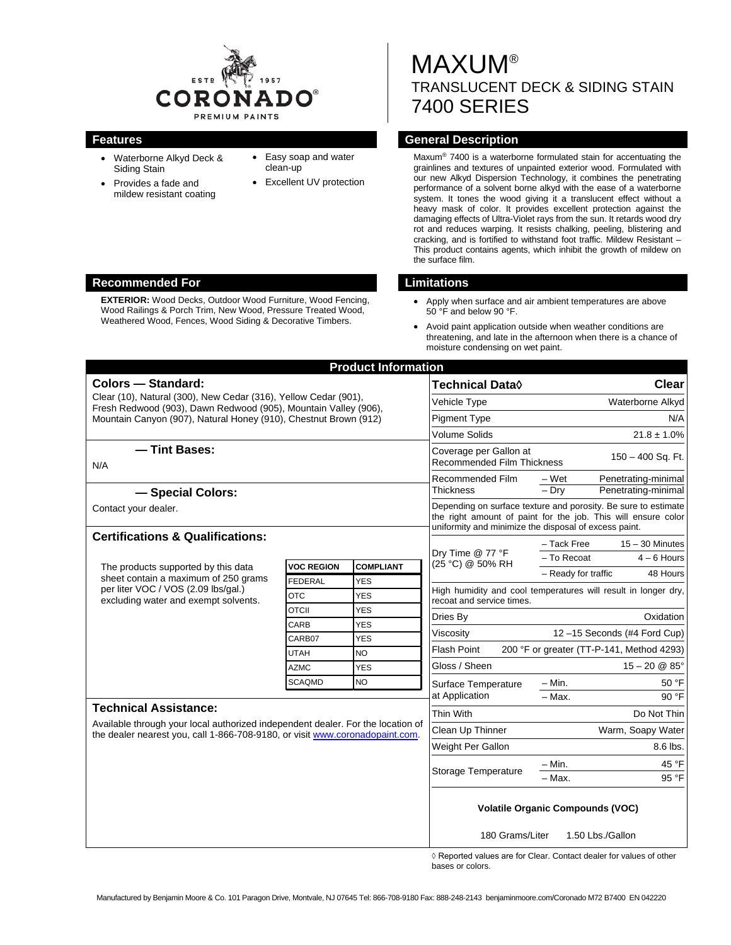

- Waterborne Alkyd Deck & Siding Stain
- Provides a fade and mildew resistant coating
- Easy soap and water clean-up
- **Excellent UV protection**

**MAXUM®** TRANSLUCENT DECK & SIDING STAIN 7400 SERIES

## **Features General Description**

Maxum® 7400 is a waterborne formulated stain for accentuating the grainlines and textures of unpainted exterior wood. Formulated with our new Alkyd Dispersion Technology, it combines the penetrating performance of a solvent borne alkyd with the ease of a waterborne system. It tones the wood giving it a translucent effect without a heavy mask of color. It provides excellent protection against the damaging effects of Ultra-Violet rays from the sun. It retards wood dry rot and reduces warping. It resists chalking, peeling, blistering and cracking, and is fortified to withstand foot traffic. Mildew Resistant – This product contains agents, which inhibit the growth of mildew on the surface film.

- Apply when surface and air ambient temperatures are above 50 °F and below 90 °F.
- Avoid paint application outside when weather conditions are threatening, and late in the afternoon when there is a chance of moisture condensing on wet paint.

| <b>Product Information</b>                                                                                                                                                                                                          |                      |                          |                                                                                                                                                                                          |                                           |  |
|-------------------------------------------------------------------------------------------------------------------------------------------------------------------------------------------------------------------------------------|----------------------|--------------------------|------------------------------------------------------------------------------------------------------------------------------------------------------------------------------------------|-------------------------------------------|--|
| <b>Colors - Standard:</b><br>Clear (10), Natural (300), New Cedar (316), Yellow Cedar (901),<br>Fresh Redwood (903), Dawn Redwood (905), Mountain Valley (906),<br>Mountain Canyon (907), Natural Honey (910), Chestnut Brown (912) |                      |                          | Technical Data <b>◊</b>                                                                                                                                                                  | <b>Clear</b>                              |  |
|                                                                                                                                                                                                                                     |                      |                          | Vehicle Type                                                                                                                                                                             | Waterborne Alkyd                          |  |
|                                                                                                                                                                                                                                     |                      |                          | <b>Pigment Type</b>                                                                                                                                                                      | N/A                                       |  |
|                                                                                                                                                                                                                                     |                      |                          | <b>Volume Solids</b>                                                                                                                                                                     | $21.8 \pm 1.0\%$                          |  |
| - Tint Bases:<br>N/A                                                                                                                                                                                                                |                      |                          | Coverage per Gallon at<br>$150 - 400$ Sq. Ft.<br><b>Recommended Film Thickness</b>                                                                                                       |                                           |  |
|                                                                                                                                                                                                                                     |                      |                          | Recommended Film<br>Thickness                                                                                                                                                            | – Wet<br>Penetrating-minimal              |  |
| - Special Colors:                                                                                                                                                                                                                   |                      |                          |                                                                                                                                                                                          | $-$ Drv<br>Penetrating-minimal            |  |
| Contact your dealer.                                                                                                                                                                                                                |                      |                          | Depending on surface texture and porosity. Be sure to estimate<br>the right amount of paint for the job. This will ensure color<br>uniformity and minimize the disposal of excess paint. |                                           |  |
| <b>Certifications &amp; Qualifications:</b>                                                                                                                                                                                         |                      |                          | $15 - 30$ Minutes<br>- Tack Free                                                                                                                                                         |                                           |  |
|                                                                                                                                                                                                                                     |                      |                          | Dry Time @ 77 °F                                                                                                                                                                         | - To Recoat<br>$4 - 6$ Hours              |  |
| The products supported by this data<br>sheet contain a maximum of 250 grams<br>per liter VOC / VOS (2.09 lbs/gal.)<br>excluding water and exempt solvents.                                                                          | <b>VOC REGION</b>    | <b>COMPLIANT</b>         | (25 °C) @ 50% RH                                                                                                                                                                         | - Ready for traffic<br>48 Hours           |  |
|                                                                                                                                                                                                                                     | <b>FEDERAL</b>       | <b>YES</b>               | High humidity and cool temperatures will result in longer dry,                                                                                                                           |                                           |  |
|                                                                                                                                                                                                                                     | <b>OTC</b>           | YES                      | recoat and service times.                                                                                                                                                                |                                           |  |
|                                                                                                                                                                                                                                     | <b>OTCII</b><br>CARB | <b>YES</b><br><b>YES</b> | Dries By                                                                                                                                                                                 | Oxidation                                 |  |
|                                                                                                                                                                                                                                     | CARB07               | YES                      | Viscosity                                                                                                                                                                                | 12-15 Seconds (#4 Ford Cup)               |  |
|                                                                                                                                                                                                                                     | <b>UTAH</b>          | <b>NO</b>                | Flash Point                                                                                                                                                                              | 200 °F or greater (TT-P-141, Method 4293) |  |
|                                                                                                                                                                                                                                     | <b>AZMC</b>          | <b>YES</b>               | Gloss / Sheen                                                                                                                                                                            | $15 - 20 \& 85^{\circ}$                   |  |
|                                                                                                                                                                                                                                     | <b>SCAQMD</b>        | <b>NO</b>                | Surface Temperature                                                                                                                                                                      | $- Min.$<br>50 °F                         |  |
|                                                                                                                                                                                                                                     |                      |                          | at Application                                                                                                                                                                           | $-$ Max.<br>90 °F                         |  |
| <b>Technical Assistance:</b>                                                                                                                                                                                                        |                      |                          | Thin With                                                                                                                                                                                | Do Not Thin                               |  |
| Available through your local authorized independent dealer. For the location of<br>the dealer nearest you, call 1-866-708-9180, or visit www.coronadopaint.com.                                                                     |                      |                          | Clean Up Thinner                                                                                                                                                                         | Warm, Soapy Water                         |  |
|                                                                                                                                                                                                                                     |                      |                          | Weight Per Gallon                                                                                                                                                                        | 8.6 lbs.                                  |  |
|                                                                                                                                                                                                                                     |                      |                          | Storage Temperature                                                                                                                                                                      | $- Min.$<br>45 °F                         |  |
|                                                                                                                                                                                                                                     |                      |                          |                                                                                                                                                                                          | - Max.<br>95 °F                           |  |
|                                                                                                                                                                                                                                     |                      |                          | <b>Volatile Organic Compounds (VOC)</b>                                                                                                                                                  |                                           |  |
|                                                                                                                                                                                                                                     |                      |                          | 180 Grams/Liter<br>1.50 Lbs./Gallon<br>$\wedge$ n.                                                                                                                                       |                                           |  |

◊ Reported values are for Clear. Contact dealer for values of other bases or colors.

#### **Recommended For Limitations**

**EXTERIOR:** Wood Decks, Outdoor Wood Furniture, Wood Fencing, Wood Railings & Porch Trim, New Wood, Pressure Treated Wood, Weathered Wood, Fences, Wood Siding & Decorative Timbers.